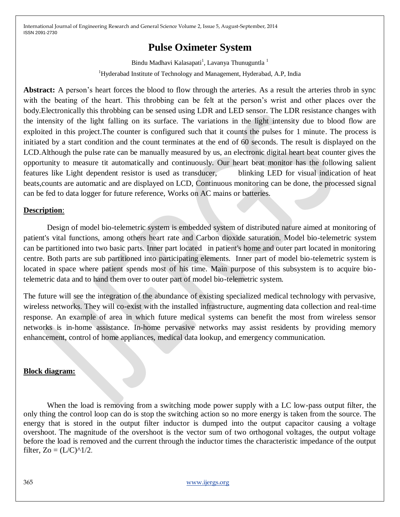# **Pulse Oximeter System**

Bindu Madhavi Kalasapati<sup>1</sup>, Lavanya Thunuguntla <sup>1</sup> <sup>1</sup>Hyderabad Institute of Technology and Management, Hyderabad, A.P, India

**Abstract:** A person's heart forces the blood to flow through the arteries. As a result the arteries throb in sync with the beating of the heart. This throbbing can be felt at the person's wrist and other places over the body.Electronically this throbbing can be sensed using LDR and LED sensor. The LDR resistance changes with the intensity of the light falling on its surface. The variations in the light intensity due to blood flow are exploited in this project.The counter is configured such that it counts the pulses for 1 minute. The process is initiated by a start condition and the count terminates at the end of 60 seconds. The result is displayed on the LCD.Although the pulse rate can be manually measured by us, an electronic digital heart beat counter gives the opportunity to measure tit automatically and continuously. Our heart beat monitor has the following salient features like Light dependent resistor is used as transducer, blinking LED for visual indication of heat beats,counts are automatic and are displayed on LCD, Continuous monitoring can be done, the processed signal can be fed to data logger for future reference, Works on AC mains or batteries.

### **Description**:

Design of model bio-telemetric system is embedded system of distributed nature aimed at monitoring of patient's vital functions, among others heart rate and Carbon dioxide saturation. Model bio-telemetric system can be partitioned into two basic parts. Inner part located in patient's home and outer part located in monitoring centre. Both parts are sub partitioned into participating elements. Inner part of model bio-telemetric system is located in space where patient spends most of his time. Main purpose of this subsystem is to acquire biotelemetric data and to hand them over to outer part of model bio-telemetric system.

The future will see the integration of the abundance of existing specialized medical technology with pervasive, wireless networks. They will co-exist with the installed infrastructure, augmenting data collection and real-time response. An example of area in which future medical systems can benefit the most from wireless sensor networks is in-home assistance. In-home pervasive networks may assist residents by providing memory enhancement, control of home appliances, medical data lookup, and emergency communication.

## **Block diagram:**

When the load is removing from a switching mode power supply with a LC low-pass output filter, the only thing the control loop can do is stop the switching action so no more energy is taken from the source. The energy that is stored in the output filter inductor is dumped into the output capacitor causing a voltage overshoot. The magnitude of the overshoot is the vector sum of two orthogonal voltages, the output voltage before the load is removed and the current through the inductor times the characteristic impedance of the output filter,  $Zo = (L/C)^{2}/2$ .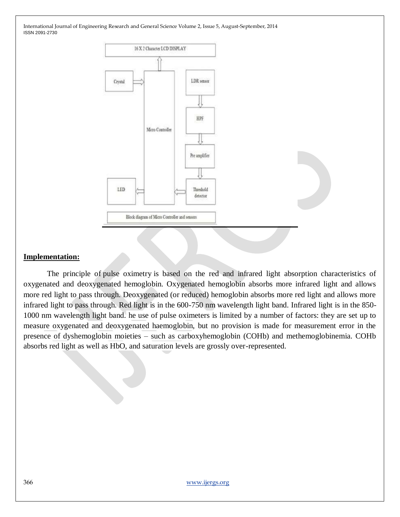

#### **Implementation:**

The principle of pulse oximetry is based on the red and infrared light absorption characteristics of oxygenated and deoxygenated hemoglobin. Oxygenated hemoglobin absorbs more infrared light and allows more red light to pass through. Deoxygenated (or reduced) hemoglobin absorbs more red light and allows more infrared light to pass through. Red light is in the 600-750 nm wavelength light band. Infrared light is in the 850- 1000 nm wavelength light band. he use of pulse oximeters is limited by a number of factors: they are set up to measure oxygenated and deoxygenated haemoglobin, but no provision is made for measurement error in the presence of dyshemoglobin moieties – such as carboxyhemoglobin (COHb) and methemoglobinemia. COHb absorbs red light as well as HbO, and saturation levels are grossly over-represented.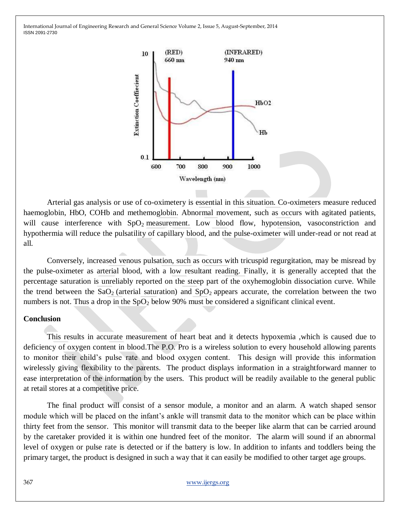

Arterial gas analysis or use of co-oximetery is essential in this situation. Co-oximeters measure reduced haemoglobin, HbO, COHb and methemoglobin. Abnormal movement, such as occurs with agitated patients, will cause interference with SpO<sub>2</sub> measurement. Low blood flow, hypotension, vasoconstriction and hypothermia will reduce the pulsatility of capillary blood, and the pulse-oximeter will under-read or not read at all.

Conversely, increased venous pulsation, such as occurs with tricuspid regurgitation, may be misread by the pulse-oximeter as arterial blood, with a low resultant reading. Finally, it is generally accepted that the percentage saturation is unreliably reported on the steep part of the oxyhemoglobin dissociation curve. While the trend between the  $SaO_2$  (arterial saturation) and  $SpO_2$  appears accurate, the correlation between the two numbers is not. Thus a drop in the  $SpO<sub>2</sub>$  below 90% must be considered a significant clinical event.

#### **Conclusion**

This results in accurate measurement of heart beat and it detects hypoxemia ,which is caused due to deficiency of oxygen content in blood.The P.O. Pro is a wireless solution to every household allowing parents to monitor their child's pulse rate and blood oxygen content. This design will provide this information wirelessly giving flexibility to the parents. The product displays information in a straightforward manner to ease interpretation of the information by the users. This product will be readily available to the general public at retail stores at a competitive price.

The final product will consist of a sensor module, a monitor and an alarm. A watch shaped sensor module which will be placed on the infant's ankle will transmit data to the monitor which can be place within thirty feet from the sensor. This monitor will transmit data to the beeper like alarm that can be carried around by the caretaker provided it is within one hundred feet of the monitor. The alarm will sound if an abnormal level of oxygen or pulse rate is detected or if the battery is low. In addition to infants and toddlers being the primary target, the product is designed in such a way that it can easily be modified to other target age groups.